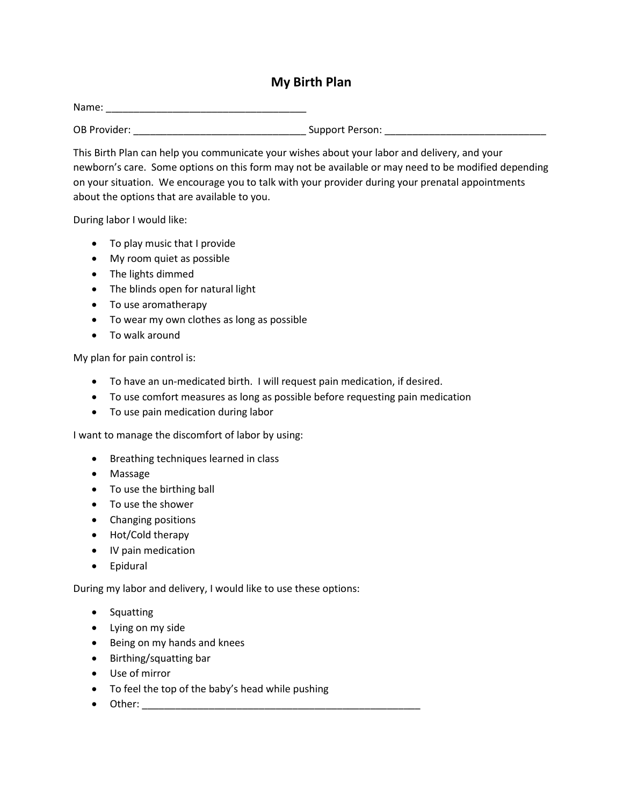## **My Birth Plan**

Name: \_\_\_\_\_\_\_\_\_\_\_\_\_\_\_\_\_\_\_\_\_\_\_\_\_\_\_\_\_\_\_\_\_\_\_\_

OB Provider: \_\_\_\_\_\_\_\_\_\_\_\_\_\_\_\_\_\_\_\_\_\_\_\_\_\_\_\_\_\_\_ Support Person: \_\_\_\_\_\_\_\_\_\_\_\_\_\_\_\_\_\_\_\_\_\_\_\_\_\_\_\_\_

This Birth Plan can help you communicate your wishes about your labor and delivery, and your newborn's care. Some options on this form may not be available or may need to be modified depending on your situation. We encourage you to talk with your provider during your prenatal appointments about the options that are available to you.

During labor I would like:

- To play music that I provide
- My room quiet as possible
- The lights dimmed
- The blinds open for natural light
- To use aromatherapy
- To wear my own clothes as long as possible
- To walk around

My plan for pain control is:

- To have an un-medicated birth. I will request pain medication, if desired.
- To use comfort measures as long as possible before requesting pain medication
- To use pain medication during labor

I want to manage the discomfort of labor by using:

- Breathing techniques learned in class
- Massage
- To use the birthing ball
- To use the shower
- Changing positions
- Hot/Cold therapy
- IV pain medication
- Epidural

During my labor and delivery, I would like to use these options:

- Squatting
- Lying on my side
- Being on my hands and knees
- Birthing/squatting bar
- Use of mirror
- To feel the top of the baby's head while pushing
- Other: \_\_\_\_\_\_\_\_\_\_\_\_\_\_\_\_\_\_\_\_\_\_\_\_\_\_\_\_\_\_\_\_\_\_\_\_\_\_\_\_\_\_\_\_\_\_\_\_\_\_